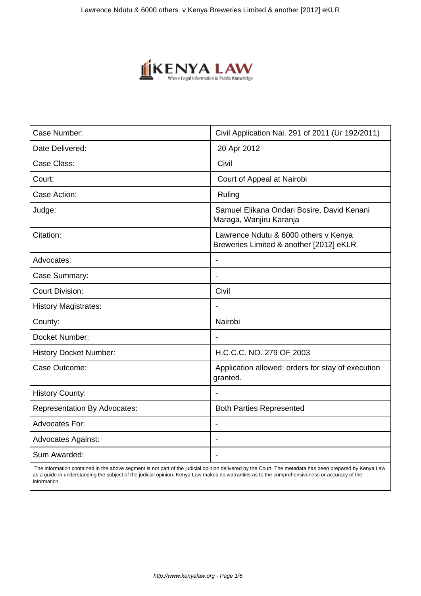

| Case Number:                        | Civil Application Nai. 291 of 2011 (Ur 192/2011)                                |
|-------------------------------------|---------------------------------------------------------------------------------|
| Date Delivered:                     | 20 Apr 2012                                                                     |
| Case Class:                         | Civil                                                                           |
| Court:                              | Court of Appeal at Nairobi                                                      |
| Case Action:                        | Ruling                                                                          |
| Judge:                              | Samuel Elikana Ondari Bosire, David Kenani<br>Maraga, Wanjiru Karanja           |
| Citation:                           | Lawrence Ndutu & 6000 others v Kenya<br>Breweries Limited & another [2012] eKLR |
| Advocates:                          |                                                                                 |
| Case Summary:                       |                                                                                 |
| <b>Court Division:</b>              | Civil                                                                           |
| <b>History Magistrates:</b>         |                                                                                 |
| County:                             | Nairobi                                                                         |
| Docket Number:                      |                                                                                 |
| <b>History Docket Number:</b>       | H.C.C.C. NO. 279 OF 2003                                                        |
| Case Outcome:                       | Application allowed; orders for stay of execution<br>granted.                   |
| <b>History County:</b>              |                                                                                 |
| <b>Representation By Advocates:</b> | <b>Both Parties Represented</b>                                                 |
| Advocates For:                      | $\overline{\phantom{a}}$                                                        |
| <b>Advocates Against:</b>           |                                                                                 |
| Sum Awarded:                        |                                                                                 |

 The information contained in the above segment is not part of the judicial opinion delivered by the Court. The metadata has been prepared by Kenya Law as a guide in understanding the subject of the judicial opinion. Kenya Law makes no warranties as to the comprehensiveness or accuracy of the information.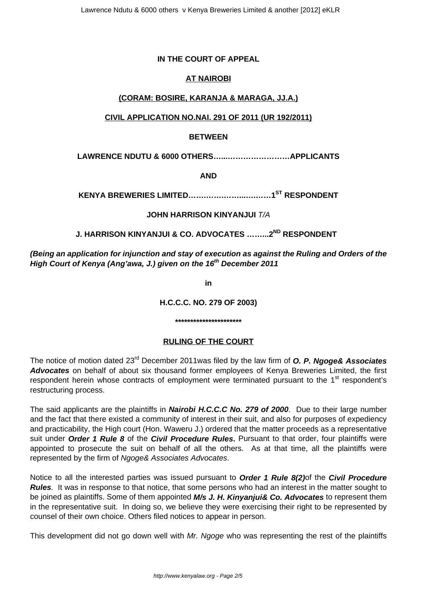## **IN THE COURT OF APPEAL**

## **AT NAIROBI**

## **(CORAM: BOSIRE, KARANJA & MARAGA, JJ.A.)**

## **CIVIL APPLICATION NO.NAI. 291 OF 2011 (UR 192/2011)**

#### **BETWEEN**

**LAWRENCE NDUTU & 6000 OTHERS…...……………………APPLICANTS**

**AND**

**KENYA BREWERIES LIMITED…….…….……...….……1ST RESPONDENT**

## **JOHN HARRISON KINYANJUI** T/A

## **J. HARRISON KINYANJUI & CO. ADVOCATES ……...2ND RESPONDENT**

**(Being an application for injunction and stay of execution as against the Ruling and Orders of the High Court of Kenya (Ang'awa, J.) given on the 16th December 2011**

**in**

**H.C.C.C. NO. 279 OF 2003)**

**\*\*\*\*\*\*\*\*\*\*\*\*\*\*\*\*\*\*\*\*\*\***

#### **RULING OF THE COURT**

The notice of motion dated 23rd December 2011was filed by the law firm of **O. P. Ngoge& Associates Advocates** on behalf of about six thousand former employees of Kenya Breweries Limited, the first respondent herein whose contracts of employment were terminated pursuant to the 1<sup>st</sup> respondent's restructuring process.

The said applicants are the plaintiffs in **Nairobi H.C.C.C No. 279 of 2000**. Due to their large number and the fact that there existed a community of interest in their suit, and also for purposes of expediency and practicability, the High court (Hon. Waweru J.) ordered that the matter proceeds as a representative suit under **Order 1 Rule 8** of the **Civil Procedure Rules.** Pursuant to that order, four plaintiffs were appointed to prosecute the suit on behalf of all the others. As at that time, all the plaintiffs were represented by the firm of Ngoge& Associates Advocates.

Notice to all the interested parties was issued pursuant to **Order 1 Rule 8(2)**of the **Civil Procedure Rules**. It was in response to that notice, that some persons who had an interest in the matter sought to be joined as plaintiffs. Some of them appointed **M/s J. H. Kinyanjui& Co. Advocates** to represent them in the representative suit. In doing so, we believe they were exercising their right to be represented by counsel of their own choice. Others filed notices to appear in person.

This development did not go down well with Mr. Ngoge who was representing the rest of the plaintiffs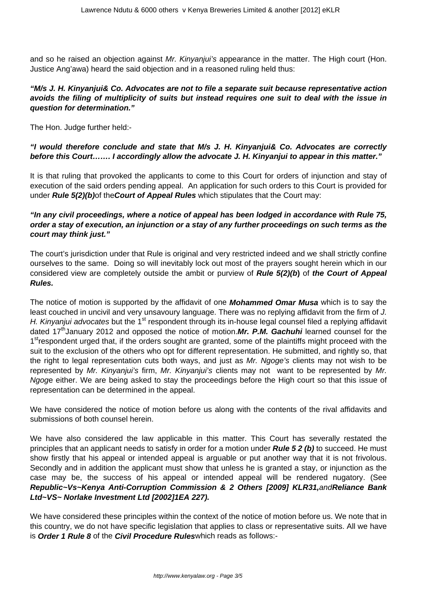and so he raised an objection against *Mr. Kinvaniui's* appearance in the matter. The High court (Hon. Justice Ang'awa) heard the said objection and in a reasoned ruling held thus:

## **"M/s J. H. Kinyanjui& Co. Advocates are not to file a separate suit because representative action avoids the filing of multiplicity of suits but instead requires one suit to deal with the issue in question for determination."**

The Hon. Judge further held:-

## **"I would therefore conclude and state that M/s J. H. Kinyanjui& Co. Advocates are correctly before this Court……. I accordingly allow the advocate J. H. Kinyanjui to appear in this matter."**

It is that ruling that provoked the applicants to come to this Court for orders of injunction and stay of execution of the said orders pending appeal. An application for such orders to this Court is provided for under **Rule 5(2)(b)**of the**Court of Appeal Rules** which stipulates that the Court may:

## **"In any civil proceedings, where a notice of appeal has been lodged in accordance with Rule 75, order a stay of execution, an injunction or a stay of any further proceedings on such terms as the court may think just."**

The court's jurisdiction under that Rule is original and very restricted indeed and we shall strictly confine ourselves to the same. Doing so will inevitably lock out most of the prayers sought herein which in our considered view are completely outside the ambit or purview of **Rule 5(2)(b)** of **the Court of Appeal Rules.**

The notice of motion is supported by the affidavit of one **Mohammed Omar Musa** which is to say the least couched in uncivil and very unsavoury language. There was no replying affidavit from the firm of J. H. Kinyanjui advocates but the 1<sup>st</sup> respondent through its in-house legal counsel filed a replying affidavit dated 17<sup>th</sup>January 2012 and opposed the notice of motion. Mr. P.M. Gachuhi learned counsel for the 1<sup>st</sup>respondent urged that, if the orders sought are granted, some of the plaintiffs might proceed with the suit to the exclusion of the others who opt for different representation. He submitted, and rightly so, that the right to legal representation cuts both ways, and just as Mr. Ngoge's clients may not wish to be represented by Mr. Kinyanjui's firm, Mr. Kinyanjui's clients may not want to be represented by Mr. Ngoge either. We are being asked to stay the proceedings before the High court so that this issue of representation can be determined in the appeal.

We have considered the notice of motion before us along with the contents of the rival affidavits and submissions of both counsel herein.

We have also considered the law applicable in this matter. This Court has severally restated the principles that an applicant needs to satisfy in order for a motion under **Rule 5 2 (b)** to succeed. He must show firstly that his appeal or intended appeal is arguable or put another way that it is not frivolous. Secondly and in addition the applicant must show that unless he is granted a stay, or injunction as the case may be, the success of his appeal or intended appeal will be rendered nugatory. (See **Republic~Vs~Kenya Anti-Corruption Commission & 2 Others [2009] KLR31,**and**Reliance Bank Ltd~VS~ Norlake Investment Ltd [2002]1EA 227).**

We have considered these principles within the context of the notice of motion before us. We note that in this country, we do not have specific legislation that applies to class or representative suits. All we have is **Order 1 Rule 8** of the **Civil Procedure Rules**which reads as follows:-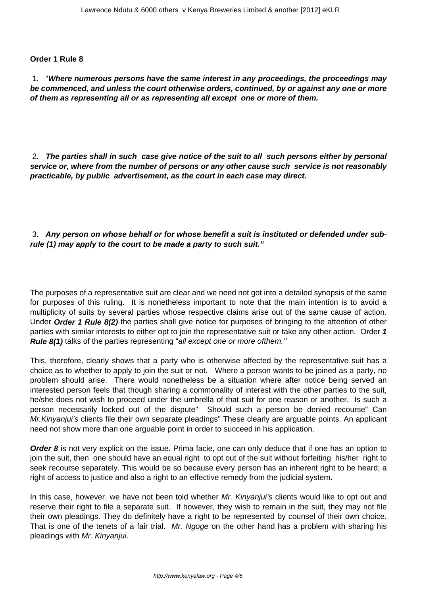#### **Order 1 Rule 8**

1. "**Where numerous persons have the same interest in any proceedings, the proceedings may be commenced, and unless the court otherwise orders, continued, by or against any one or more of them as representing all or as representing all except one or more of them.**

2. **The parties shall in such case give notice of the suit to all such persons either by personal service or, where from the number of persons or any other cause such service is not reasonably practicable, by public advertisement, as the court in each case may direct.**

#### 3. **Any person on whose behalf or for whose benefit a suit is instituted or defended under subrule (1) may apply to the court to be made a party to such suit."**

The purposes of a representative suit are clear and we need not got into a detailed synopsis of the same for purposes of this ruling. It is nonetheless important to note that the main intention is to avoid a multiplicity of suits by several parties whose respective claims arise out of the same cause of action. Under **Order 1 Rule 8(2)** the parties shall give notice for purposes of bringing to the attention of other parties with similar interests to either opt to join the representative suit or take any other action. Order **1 Rule 8(1)** talks of the parties representing "all except one or more ofthem."

This, therefore, clearly shows that a party who is otherwise affected by the representative suit has a choice as to whether to apply to join the suit or not. Where a person wants to be joined as a party, no problem should arise. There would nonetheless be a situation where after notice being served an interested person feels that though sharing a commonality of interest with the other parties to the suit, he/she does not wish to proceed under the umbrella of that suit for one reason or another. Is such a person necessarily locked out of the dispute" Should such a person be denied recourse" Can Mr. Kinyanjui's clients file their own separate pleadings" These clearly are arguable points. An applicant need not show more than one arguable point in order to succeed in his application.

**Order 8** is not very explicit on the issue. Prima facie, one can only deduce that if one has an option to join the suit, then one should have an equal right to opt out of the suit without forfeiting his/her right to seek recourse separately. This would be so because every person has an inherent right to be heard; a right of access to justice and also a right to an effective remedy from the judicial system.

In this case, however, we have not been told whether Mr. Kinyanjui's clients would like to opt out and reserve their right to file a separate suit. If however, they wish to remain in the suit, they may not file their own pleadings. They do definitely have a right to be represented by counsel of their own choice. That is one of the tenets of a fair trial. Mr. Ngoge on the other hand has a problem with sharing his pleadings with Mr. Kinyanjui.